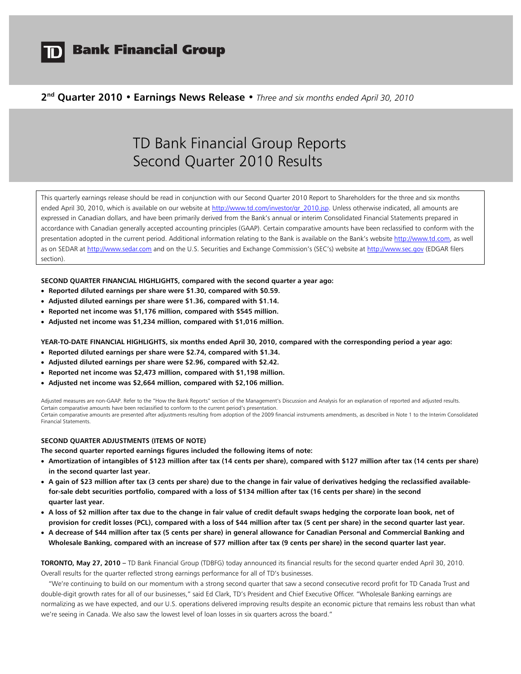

# **Bank Financial Group**

# **2nd Quarter 2010 • Earnings News Release •** *Three and six months ended April 30, 2010*

# TD Bank Financial Group Reports Second Quarter 2010 Results

This quarterly earnings release should be read in conjunction with our Second Quarter 2010 Report to Shareholders for the three and six months ended April 30, 2010, which is available on our website at http://www.td.com/investor/qr\_2010.jsp. Unless otherwise indicated, all amounts are expressed in Canadian dollars, and have been primarily derived from the Bank's annual or interim Consolidated Financial Statements prepared in accordance with Canadian generally accepted accounting principles (GAAP). Certain comparative amounts have been reclassified to conform with the presentation adopted in the current period. Additional information relating to the Bank is available on the Bank's website http://www.td.com, as well as on SEDAR at http://www.sedar.com and on the U.S. Securities and Exchange Commission's (SEC's) website at http://www.sec.gov (EDGAR filers section).

**SECOND QUARTER FINANCIAL HIGHLIGHTS, compared with the second quarter a year ago:** 

- **Reported diluted earnings per share were \$1.30, compared with \$0.59.**
- **Adjusted diluted earnings per share were \$1.36, compared with \$1.14.**
- **Reported net income was \$1,176 million, compared with \$545 million.**
- **Adjusted net income was \$1,234 million, compared with \$1,016 million.**

**YEAR-TO-DATE FINANCIAL HIGHLIGHTS, six months ended April 30, 2010, compared with the corresponding period a year ago:** 

- **Reported diluted earnings per share were \$2.74, compared with \$1.34.**
- **Adjusted diluted earnings per share were \$2.96, compared with \$2.42.**
- **Reported net income was \$2,473 million, compared with \$1,198 million.**
- **Adjusted net income was \$2,664 million, compared with \$2,106 million.**

Adjusted measures are non-GAAP. Refer to the "How the Bank Reports" section of the Management's Discussion and Analysis for an explanation of reported and adjusted results. Certain comparative amounts have been reclassified to conform to the current period's presentation. Certain comparative amounts are presented after adjustments resulting from adoption of the 2009 financial instruments amendments, as described in Note 1 to the Interim Consolidated Financial Statements.

### **SECOND QUARTER ADJUSTMENTS (ITEMS OF NOTE)**

**The second quarter reported earnings figures included the following items of note:** 

- **Amortization of intangibles of \$123 million after tax (14 cents per share), compared with \$127 million after tax (14 cents per share) in the second quarter last year.**
- **A gain of \$23 million after tax (3 cents per share) due to the change in fair value of derivatives hedging the reclassified availablefor-sale debt securities portfolio, compared with a loss of \$134 million after tax (16 cents per share) in the second quarter last year.**
- **A loss of \$2 million after tax due to the change in fair value of credit default swaps hedging the corporate loan book, net of provision for credit losses (PCL), compared with a loss of \$44 million after tax (5 cent per share) in the second quarter last year.**
- **A decrease of \$44 million after tax (5 cents per share) in general allowance for Canadian Personal and Commercial Banking and Wholesale Banking, compared with an increase of \$77 million after tax (9 cents per share) in the second quarter last year.**

**TORONTO, May 27, 2010 –** TD Bank Financial Group (TDBFG) today announced its financial results for the second quarter ended April 30, 2010. Overall results for the quarter reflected strong earnings performance for all of TD's businesses.

 "We're continuing to build on our momentum with a strong second quarter that saw a second consecutive record profit for TD Canada Trust and double-digit growth rates for all of our businesses," said Ed Clark, TD's President and Chief Executive Officer. "Wholesale Banking earnings are normalizing as we have expected, and our U.S. operations delivered improving results despite an economic picture that remains less robust than what we're seeing in Canada. We also saw the lowest level of loan losses in six quarters across the board."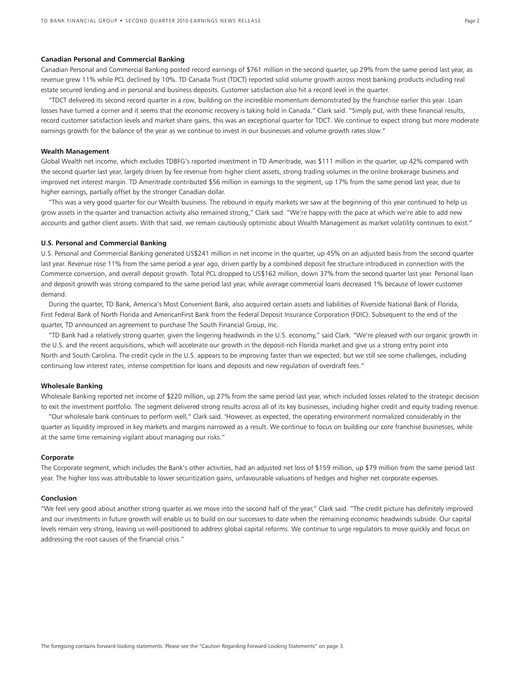#### **Canadian Personal and Commercial Banking**

Canadian Personal and Commercial Banking posted record earnings of \$761 million in the second quarter, up 29% from the same period last year, as revenue grew 11% while PCL declined by 10%. TD Canada Trust (TDCT) reported solid volume growth across most banking products including real estate secured lending and in personal and business deposits. Customer satisfaction also hit a record level in the quarter.

 "TDCT delivered its second record quarter in a row, building on the incredible momentum demonstrated by the franchise earlier this year. Loan losses have turned a corner and it seems that the economic recovery is taking hold in Canada." Clark said. "Simply put, with these financial results, record customer satisfaction levels and market share gains, this was an exceptional quarter for TDCT. We continue to expect strong but more moderate earnings growth for the balance of the year as we continue to invest in our businesses and volume growth rates slow."

#### **Wealth Management**

Global Wealth net income, which excludes TDBFG's reported investment in TD Ameritrade, was \$111 million in the quarter, up 42% compared with the second quarter last year, largely driven by fee revenue from higher client assets, strong trading volumes in the online brokerage business and improved net interest margin. TD Ameritrade contributed \$56 million in earnings to the segment, up 17% from the same period last year, due to higher earnings, partially offset by the stronger Canadian dollar.

"This was a very good quarter for our Wealth business. The rebound in equity markets we saw at the beginning of this year continued to help us grow assets in the quarter and transaction activity also remained strong," Clark said. "We're happy with the pace at which we're able to add new accounts and gather client assets. With that said, we remain cautiously optimistic about Wealth Management as market volatility continues to exist."

# **U.S. Personal and Commercial Banking**

U.S. Personal and Commercial Banking generated US\$241 million in net income in the quarter, up 45% on an adjusted basis from the second quarter last year. Revenue rose 11% from the same period a year ago, driven partly by a combined deposit fee structure introduced in connection with the Commerce conversion, and overall deposit growth. Total PCL dropped to US\$162 million, down 37% from the second quarter last year. Personal loan and deposit growth was strong compared to the same period last year, while average commercial loans decreased 1% because of lower customer demand.

 During the quarter, TD Bank, America's Most Convenient Bank, also acquired certain assets and liabilities of Riverside National Bank of Florida, First Federal Bank of North Florida and AmericanFirst Bank from the Federal Deposit Insurance Corporation (FDIC). Subsequent to the end of the quarter, TD announced an agreement to purchase The South Financial Group, Inc.

"TD Bank had a relatively strong quarter, given the lingering headwinds in the U.S. economy," said Clark. "We're pleased with our organic growth in the U.S. and the recent acquisitions, which will accelerate our growth in the deposit-rich Florida market and give us a strong entry point into North and South Carolina. The credit cycle in the U.S. appears to be improving faster than we expected, but we still see some challenges, including continuing low interest rates, intense competition for loans and deposits and new regulation of overdraft fees."

#### **Wholesale Banking**

Wholesale Banking reported net income of \$220 million, up 27% from the same period last year, which included losses related to the strategic decision to exit the investment portfolio. The segment delivered strong results across all of its key businesses, including higher credit and equity trading revenue.

"Our wholesale bank continues to perform well," Clark said. "However, as expected, the operating environment normalized considerably in the quarter as liquidity improved in key markets and margins narrowed as a result. We continue to focus on building our core franchise businesses, while at the same time remaining vigilant about managing our risks."

#### **Corporate**

The Corporate segment, which includes the Bank's other activities, had an adjusted net loss of \$159 million, up \$79 million from the same period last year. The higher loss was attributable to lower securitization gains, unfavourable valuations of hedges and higher net corporate expenses.

#### **Conclusion**

"We feel very good about another strong quarter as we move into the second half of the year," Clark said. "The credit picture has definitely improved and our investments in future growth will enable us to build on our successes to date when the remaining economic headwinds subside. Our capital levels remain very strong, leaving us well-positioned to address global capital reforms. We continue to urge regulators to move quickly and focus on addressing the root causes of the financial crisis."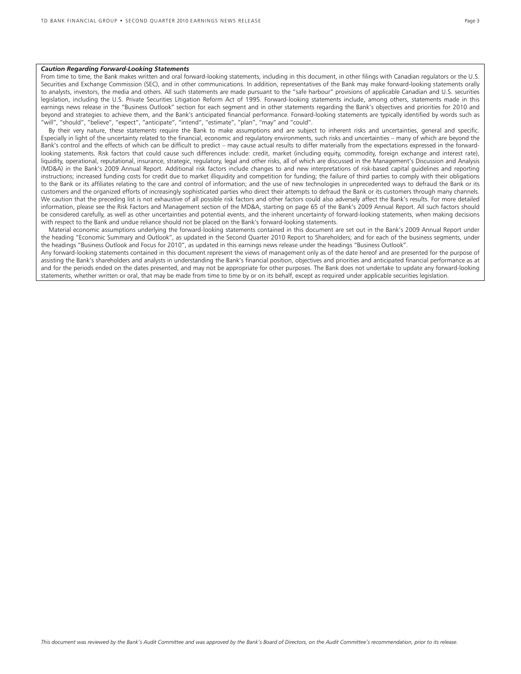### *Caution Regarding Forward-Looking Statements*

From time to time, the Bank makes written and oral forward-looking statements, including in this document, in other filings with Canadian regulators or the U.S. Securities and Exchange Commission (SEC), and in other communications. In addition, representatives of the Bank may make forward-looking statements orally to analysts, investors, the media and others. All such statements are made pursuant to the "safe harbour" provisions of applicable Canadian and U.S. securities legislation, including the U.S. Private Securities Litigation Reform Act of 1995. Forward-looking statements include, among others, statements made in this earnings news release in the "Business Outlook" section for each segment and in other statements regarding the Bank's objectives and priorities for 2010 and beyond and strategies to achieve them, and the Bank's anticipated financial performance. Forward-looking statements are typically identified by words such as "will", "should", "believe", "expect", "anticipate", "intend", "estimate", "plan", "may" and "could".

 By their very nature, these statements require the Bank to make assumptions and are subject to inherent risks and uncertainties, general and specific. Especially in light of the uncertainty related to the financial, economic and regulatory environments, such risks and uncertainties – many of which are beyond the Bank's control and the effects of which can be difficult to predict – may cause actual results to differ materially from the expectations expressed in the forwardlooking statements. Risk factors that could cause such differences include: credit, market (including equity, commodity, foreign exchange and interest rate), liquidity, operational, reputational, insurance, strategic, regulatory, legal and other risks, all of which are discussed in the Management's Discussion and Analysis (MD&A) in the Bank's 2009 Annual Report. Additional risk factors include changes to and new interpretations of risk-based capital guidelines and reporting instructions; increased funding costs for credit due to market illiquidity and competition for funding; the failure of third parties to comply with their obligations to the Bank or its affiliates relating to the care and control of information; and the use of new technologies in unprecedented ways to defraud the Bank or its customers and the organized efforts of increasingly sophisticated parties who direct their attempts to defraud the Bank or its customers through many channels. We caution that the preceding list is not exhaustive of all possible risk factors and other factors could also adversely affect the Bank's results. For more detailed information, please see the Risk Factors and Management section of the MD&A, starting on page 65 of the Bank's 2009 Annual Report. All such factors should be considered carefully, as well as other uncertainties and potential events, and the inherent uncertainty of forward-looking statements, when making decisions with respect to the Bank and undue reliance should not be placed on the Bank's forward-looking statements.

 Material economic assumptions underlying the forward-looking statements contained in this document are set out in the Bank's 2009 Annual Report under the heading "Economic Summary and Outlook", as updated in the Second Quarter 2010 Report to Shareholders; and for each of the business segments, under the headings "Business Outlook and Focus for 2010", as updated in this earnings news release under the headings "Business Outlook".

Any forward-looking statements contained in this document represent the views of management only as of the date hereof and are presented for the purpose of assisting the Bank's shareholders and analysts in understanding the Bank's financial position, objectives and priorities and anticipated financial performance as at and for the periods ended on the dates presented, and may not be appropriate for other purposes. The Bank does not undertake to update any forward-looking statements, whether written or oral, that may be made from time to time by or on its behalf, except as required under applicable securities legislation.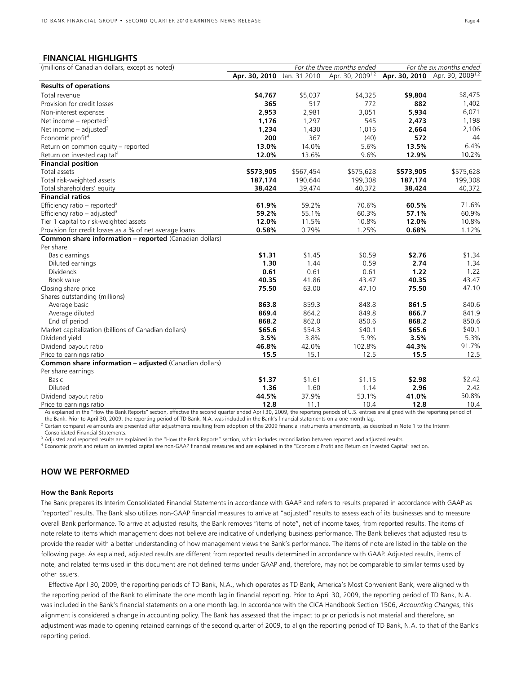# **FINANCIAL HIGHLIGHTS**

| (millions of Canadian dollars, except as noted)               | For the three months ended |           |                              | For the six months ended |                                            |  |
|---------------------------------------------------------------|----------------------------|-----------|------------------------------|--------------------------|--------------------------------------------|--|
|                                                               | Apr. 30, 2010 Jan. 31 2010 |           | Apr. 30, 2009 <sup>1,2</sup> |                          | Apr. 30, 2010 Apr. 30, 2009 <sup>1,2</sup> |  |
| <b>Results of operations</b>                                  |                            |           |                              |                          |                                            |  |
| Total revenue                                                 | \$4,767                    | \$5,037   | \$4,325                      | \$9,804                  | \$8,475                                    |  |
| Provision for credit losses                                   | 365                        | 517       | 772                          | 882                      | 1,402                                      |  |
| Non-interest expenses                                         | 2,953                      | 2,981     | 3,051                        | 5,934                    | 6,071                                      |  |
| Net income – reported <sup>3</sup>                            | 1,176                      | 1,297     | 545                          | 2,473                    | 1,198                                      |  |
| Net income $-$ adjusted <sup>3</sup>                          | 1,234                      | 1,430     | 1,016                        | 2,664                    | 2,106                                      |  |
| Economic profit <sup>4</sup>                                  | 200                        | 367       | (40)                         | 572                      | 44                                         |  |
| Return on common equity - reported                            | 13.0%                      | 14.0%     | 5.6%                         | 13.5%                    | 6.4%                                       |  |
| Return on invested capital <sup>4</sup>                       | 12.0%                      | 13.6%     | 9.6%                         | 12.9%                    | 10.2%                                      |  |
| <b>Financial position</b>                                     |                            |           |                              |                          |                                            |  |
| Total assets                                                  | \$573,905                  | \$567,454 | \$575,628                    | \$573,905                | \$575,628                                  |  |
| Total risk-weighted assets                                    | 187,174                    | 190,644   | 199,308                      | 187,174                  | 199,308                                    |  |
| Total shareholders' equity                                    | 38,424                     | 39,474    | 40,372                       | 38,424                   | 40,372                                     |  |
| <b>Financial ratios</b>                                       |                            |           |                              |                          |                                            |  |
| Efficiency ratio – reported <sup>3</sup>                      | 61.9%                      | 59.2%     | 70.6%                        | 60.5%                    | 71.6%                                      |  |
| Efficiency ratio – adjusted <sup>3</sup>                      | 59.2%                      | 55.1%     | 60.3%                        | 57.1%                    | 60.9%                                      |  |
| Tier 1 capital to risk-weighted assets                        | 12.0%                      | 11.5%     | 10.8%                        | 12.0%                    | 10.8%                                      |  |
| Provision for credit losses as a % of net average loans       | 0.58%                      | 0.79%     | 1.25%                        | 0.68%                    | 1.12%                                      |  |
| <b>Common share information - reported (Canadian dollars)</b> |                            |           |                              |                          |                                            |  |
| Per share                                                     |                            |           |                              |                          |                                            |  |
| Basic earnings                                                | \$1.31                     | \$1.45    | \$0.59                       | \$2.76                   | \$1.34                                     |  |
| Diluted earnings                                              | 1.30                       | 1.44      | 0.59                         | 2.74                     | 1.34                                       |  |
| <b>Dividends</b>                                              | 0.61                       | 0.61      | 0.61                         | 1.22                     | 1.22                                       |  |
| Book value                                                    | 40.35                      | 41.86     | 43.47                        | 40.35                    | 43.47                                      |  |
| Closing share price                                           | 75.50                      | 63.00     | 47.10                        | 75.50                    | 47.10                                      |  |
| Shares outstanding (millions)                                 |                            |           |                              |                          |                                            |  |
| Average basic                                                 | 863.8                      | 859.3     | 848.8                        | 861.5                    | 840.6                                      |  |
| Average diluted                                               | 869.4                      | 864.2     | 849.8                        | 866.7                    | 841.9                                      |  |
| End of period                                                 | 868.2                      | 862.0     | 850.6                        | 868.2                    | 850.6                                      |  |
| Market capitalization (billions of Canadian dollars)          | \$65.6                     | \$54.3    | \$40.1                       | \$65.6                   | \$40.1                                     |  |
| Dividend yield                                                | 3.5%                       | 3.8%      | 5.9%                         | 3.5%                     | 5.3%                                       |  |
| Dividend payout ratio                                         | 46.8%                      | 42.0%     | 102.8%                       | 44.3%                    | 91.7%                                      |  |
| Price to earnings ratio                                       | 15.5                       | 15.1      | 12.5                         | 15.5                     | 12.5                                       |  |
| <b>Common share information - adjusted (Canadian dollars)</b> |                            |           |                              |                          |                                            |  |
| Per share earnings                                            |                            |           |                              |                          |                                            |  |
| <b>Basic</b>                                                  | \$1.37                     | \$1.61    | \$1.15                       | \$2.98                   | \$2.42                                     |  |
| Diluted                                                       | 1.36                       | 1.60      | 1.14                         | 2.96                     | 2.42                                       |  |
| Dividend payout ratio                                         | 44.5%                      | 37.9%     | 53.1%                        | 41.0%                    | 50.8%                                      |  |
| Price to earnings ratio                                       | 12.8                       | 11.1      | 10.4                         | 12.8                     | 10.4                                       |  |

<sup>1</sup> As explained in the "How the Bank Reports" section, effective the second quarter ended April 30, 2009, the reporting periods of U.S. entities are aligned with the reporting period of

the Bank. Prior to April 30, 2009, the reporting period of TD Bank, N.A. was included in the Bank's financial statements on a one month lag.<br><sup>2</sup> Certain comparative amounts are presented after adjustments resulting from ad Consolidated Financial Statements.

<sup>3</sup> Adjusted and reported results are explained in the "How the Bank Reports" section, which includes reconciliation between reported and adjusted results.<br><sup>4</sup> Economic profit and return on invested capital are non-GAAP fi

# **HOW WE PERFORMED**

#### **How the Bank Reports**

The Bank prepares its Interim Consolidated Financial Statements in accordance with GAAP and refers to results prepared in accordance with GAAP as "reported" results. The Bank also utilizes non-GAAP financial measures to arrive at "adjusted" results to assess each of its businesses and to measure overall Bank performance. To arrive at adjusted results, the Bank removes "items of note", net of income taxes, from reported results. The items of note relate to items which management does not believe are indicative of underlying business performance. The Bank believes that adjusted results provide the reader with a better understanding of how management views the Bank's performance. The items of note are listed in the table on the following page. As explained, adjusted results are different from reported results determined in accordance with GAAP. Adjusted results, items of note, and related terms used in this document are not defined terms under GAAP and, therefore, may not be comparable to similar terms used by other issuers.

 Effective April 30, 2009, the reporting periods of TD Bank, N.A., which operates as TD Bank, America's Most Convenient Bank, were aligned with the reporting period of the Bank to eliminate the one month lag in financial reporting. Prior to April 30, 2009, the reporting period of TD Bank, N.A. was included in the Bank's financial statements on a one month lag. In accordance with the CICA Handbook Section 1506, *Accounting Changes*, this alignment is considered a change in accounting policy. The Bank has assessed that the impact to prior periods is not material and therefore, an adjustment was made to opening retained earnings of the second quarter of 2009, to align the reporting period of TD Bank, N.A. to that of the Bank's reporting period.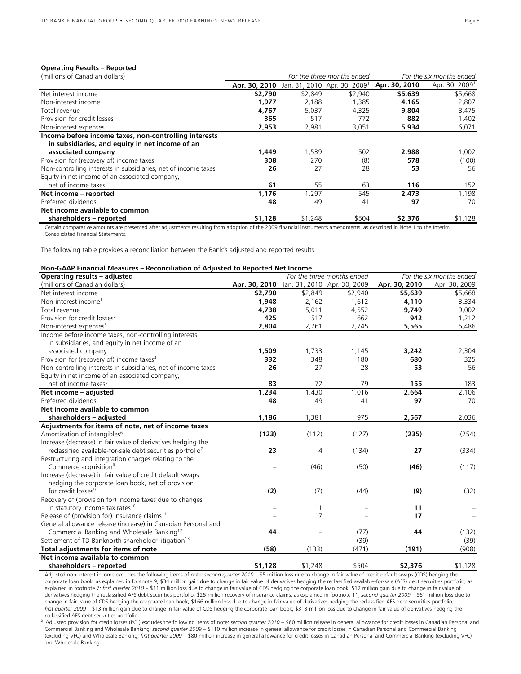#### **Operating Results – Reported**

| (millions of Canadian dollars)                                                                           | For the three months ended |         |                                          | For the six months ended |                            |
|----------------------------------------------------------------------------------------------------------|----------------------------|---------|------------------------------------------|--------------------------|----------------------------|
|                                                                                                          | Apr. 30, 2010              |         | Jan. 31, 2010 Apr. 30, 2009 <sup>1</sup> | Apr. 30, 2010            | Apr. 30, 2009 <sup>1</sup> |
| Net interest income                                                                                      | \$2,790                    | \$2,849 | \$2,940                                  | \$5,639                  | \$5,668                    |
| Non-interest income                                                                                      | 1,977                      | 2,188   | 1,385                                    | 4,165                    | 2,807                      |
| Total revenue                                                                                            | 4,767                      | 5.037   | 4.325                                    | 9,804                    | 8.475                      |
| Provision for credit losses                                                                              | 365                        | 517     | 772                                      | 882                      | 1,402                      |
| Non-interest expenses                                                                                    | 2,953                      | 2,981   | 3,051                                    | 5,934                    | 6,071                      |
| Income before income taxes, non-controlling interests<br>in subsidiaries, and equity in net income of an |                            |         |                                          |                          |                            |
| associated company                                                                                       | 1,449                      | 1,539   | 502                                      | 2,988                    | 1,002                      |
| Provision for (recovery of) income taxes                                                                 | 308                        | 270     | (8)                                      | 578                      | (100)                      |
| Non-controlling interests in subsidiaries, net of income taxes                                           | 26                         | 27      | 28                                       | 53                       | 56                         |
| Equity in net income of an associated company,                                                           |                            |         |                                          |                          |                            |
| net of income taxes                                                                                      | 61                         | 55      | 63                                       | 116                      | 152                        |
| Net income - reported                                                                                    | 1,176                      | 1,297   | 545                                      | 2,473                    | 1,198                      |
| Preferred dividends                                                                                      | 48                         | 49      | 41                                       | 97                       | 70                         |
| Net income available to common                                                                           |                            |         |                                          |                          |                            |
| shareholders - reported                                                                                  | \$1,128                    | \$1,248 | \$504                                    | \$2,376                  | \$1,128                    |

<sup>1</sup> Certain comparative amounts are presented after adjustments resulting from adoption of the 2009 financial instruments amendments, as described in Note 1 to the Interim Consolidated Financial Statements.

The following table provides a reconciliation between the Bank's adjusted and reported results.

# **Non-GAAP Financial Measures – Reconciliation of Adjusted to Reported Net Income**

| Operating results - adjusted                                           |                                           |         | For the three months ended |               | For the six months ended |
|------------------------------------------------------------------------|-------------------------------------------|---------|----------------------------|---------------|--------------------------|
| (millions of Canadian dollars)                                         | Apr. 30, 2010 Jan. 31, 2010 Apr. 30, 2009 |         |                            | Apr. 30, 2010 | Apr. 30, 2009            |
| Net interest income                                                    | \$2,790                                   | \$2,849 | \$2,940                    | \$5,639       | \$5,668                  |
| Non-interest income <sup>1</sup>                                       | 1,948                                     | 2,162   | 1,612                      | 4,110         | 3,334                    |
| Total revenue                                                          | 4,738                                     | 5,011   | 4,552                      | 9,749         | 9,002                    |
| Provision for credit losses <sup>2</sup>                               | 425                                       | 517     | 662                        | 942           | 1,212                    |
| Non-interest expenses <sup>3</sup>                                     | 2,804                                     | 2,761   | 2,745                      | 5,565         | 5,486                    |
| Income before income taxes, non-controlling interests                  |                                           |         |                            |               |                          |
| in subsidiaries, and equity in net income of an                        |                                           |         |                            |               |                          |
| associated company                                                     | 1,509                                     | 1,733   | 1,145                      | 3,242         | 2,304                    |
| Provision for (recovery of) income taxes <sup>4</sup>                  | 332                                       | 348     | 180                        | 680           | 325                      |
| Non-controlling interests in subsidiaries, net of income taxes         | 26                                        | 27      | 28                         | 53            | 56                       |
| Equity in net income of an associated company,                         |                                           |         |                            |               |                          |
| net of income taxes <sup>5</sup>                                       | 83                                        | 72      | 79                         | 155           | 183                      |
| Net income - adjusted                                                  | 1,234                                     | 1,430   | 1,016                      | 2,664         | 2,106                    |
| Preferred dividends                                                    | 48                                        | 49      | 41                         | 97            | 70                       |
| Net income available to common                                         |                                           |         |                            |               |                          |
| shareholders - adjusted                                                | 1,186                                     | 1,381   | 975                        | 2,567         | 2,036                    |
| Adjustments for items of note, net of income taxes                     |                                           |         |                            |               |                          |
| Amortization of intangibles <sup>6</sup>                               | (123)                                     | (112)   | (127)                      | (235)         | (254)                    |
| Increase (decrease) in fair value of derivatives hedging the           |                                           |         |                            |               |                          |
| reclassified available-for-sale debt securities portfolio <sup>7</sup> | 23                                        | 4       | (134)                      | 27            | (334)                    |
| Restructuring and integration charges relating to the                  |                                           |         |                            |               |                          |
| Commerce acquisition <sup>8</sup>                                      |                                           | (46)    | (50)                       | (46)          | (117)                    |
| Increase (decrease) in fair value of credit default swaps              |                                           |         |                            |               |                          |
| hedging the corporate loan book, net of provision                      |                                           |         |                            |               |                          |
| for credit losses <sup>9</sup>                                         | (2)                                       | (7)     | (44)                       | (9)           | (32)                     |
| Recovery of (provision for) income taxes due to changes                |                                           |         |                            |               |                          |
| in statutory income tax rates <sup>10</sup>                            |                                           | 11      |                            | 11            |                          |
| Release of (provision for) insurance claims <sup>11</sup>              |                                           | 17      |                            | 17            |                          |
| General allowance release (increase) in Canadian Personal and          |                                           |         |                            |               |                          |
| Commercial Banking and Wholesale Banking <sup>12</sup>                 | 44                                        |         | (77)                       | 44            | (132)                    |
| Settlement of TD Banknorth shareholder litigation <sup>13</sup>        |                                           |         | (39)                       |               | (39)                     |
| Total adjustments for items of note                                    | (58)                                      | (133)   | (471)                      | (191)         | (908)                    |
| Net income available to common                                         |                                           |         |                            |               |                          |
| shareholders - reported                                                | \$1,128                                   | \$1,248 | \$504                      | \$2,376       | \$1,128                  |

1 Adjusted non-interest income excludes the following items of note: *second quarter 2010* – \$5 million loss due to change in fair value of credit default swaps (CDS) hedging the corporate loan book, as explained in footnote 9; \$34 million gain due to change in fair value of derivatives hedging the reclassified available-for-sale (AFS) debt securities portfolio, as explained in footnote 7; first quarter 2010 – \$11 million loss due to change in fair value of CDS hedging the corporate loan book; \$12 million gain due to change in fair value of derivatives hedging the reclassified AFS debt securities portfolio; \$25 million recovery of insurance claims, as explained in footnote 11; *second quarter 2009* – \$61 million loss due to change in fair value of CDS hedging the corporate loan book; \$166 million loss due to change in fair value of derivatives hedging the reclassified AFS debt securities portfolio; *first quarter 2009* – \$13 million gain due to change in fair value of CDS hedging the corporate loan book; \$313 million loss due to change in fair value of derivatives hedging the

<sup>2</sup> Adjusted provision for credit losses (PCL) excludes the following items of note: second quarter 2010 - \$60 million release in general allowance for credit losses in Canadian Personal and Commercial Banking and Wholesale Banking; *second quarter 2009* – \$110 million increase in general allowance for credit losses in Canadian Personal and Commercial Banking (excluding VFC) and Wholesale Banking; *first quarter 2009* – \$80 million increase in general allowance for credit losses in Canadian Personal and Commercial Banking (excluding VFC) and Wholesale Banking.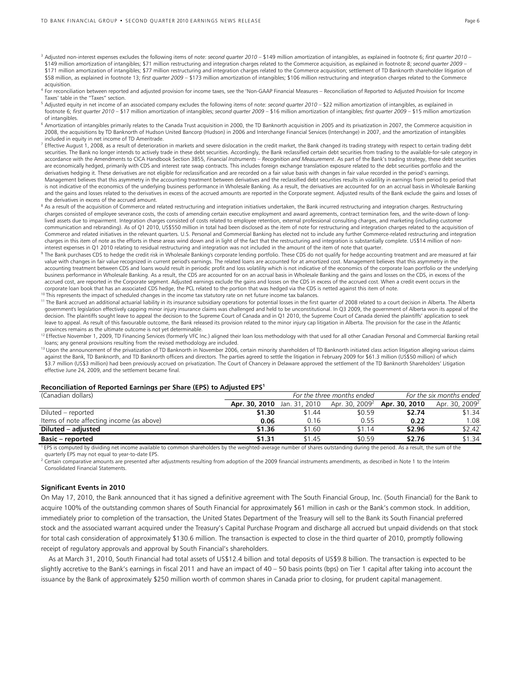- <sup>3</sup> Adjusted non-interest expenses excludes the following items of note: *second quarter 2010* \$149 million amortization of intangibles, as explained in footnote 6; first quarter 2010 -\$149 million amortization of intangibles; \$71 million restructuring and integration charges related to the Commerce acquisition, as explained in footnote 8; *second quarter 2009* \$171 million amortization of intangibles; \$77 million restructuring and integration charges related to the Commerce acquisition; settlement of TD Banknorth shareholder litigation of \$58 million, as explained in footnote 13; *first quarter 2009* – \$173 million amortization of intangibles; \$106 million restructuring and integration charges related to the Commerce acquisition.
- <sup>4</sup> For reconciliation between reported and adjusted provision for income taxes, see the 'Non-GAAP Financial Measures Reconciliation of Reported to Adjusted Provision for Income Taxes' table in the "Taxes" section.
- 5 Adjusted equity in net income of an associated company excludes the following items of note: *second quarter 2010* \$22 million amortization of intangibles, as explained in footnote 6; *first quarter 2010* – \$17 million amortization of intangibles; *second quarter 2009* – \$16 million amortization of intangibles; *first quarter 2009* – \$15 million amortization of intangibles.
- <sup>6</sup> Amortization of intangibles primarily relates to the Canada Trust acquisition in 2000, the TD Banknorth acquisition in 2005 and its privatization in 2007, the Commerce acquisition in 2008, the acquisitions by TD Banknorth of Hudson United Bancorp (Hudson) in 2006 and Interchange Financial Services (Interchange) in 2007, and the amortization of intangibles included in equity in net income of TD Ameritrade.
- $^7$  Effective August 1, 2008, as a result of deterioration in markets and severe dislocation in the credit market, the Bank changed its trading strategy with respect to certain trading debt securities. The Bank no longer intends to actively trade in these debt securities. Accordingly, the Bank reclassified certain debt securities from trading to the available-for-sale category in accordance with the Amendments to CICA Handbook Section 3855, *Financial Instruments – Recognition and Measurement*. As part of the Bank's trading strategy, these debt securities are economically hedged, primarily with CDS and interest rate swap contracts. This includes foreign exchange translation exposure related to the debt securities portfolio and the derivatives hedging it. These derivatives are not eligible for reclassification and are recorded on a fair value basis with changes in fair value recorded in the period's earnings. Management believes that this asymmetry in the accounting treatment between derivatives and the reclassified debt securities results in volatility in earnings from period to period that is not indicative of the economics of the underlying business performance in Wholesale Banking. As a result, the derivatives are accounted for on an accrual basis in Wholesale Banking and the gains and losses related to the derivatives in excess of the accrued amounts are reported in the Corporate segment. Adjusted results of the Bank exclude the gains and losses of the derivatives in excess of the accrued amount.
- <sup>8</sup> As a result of the acquisition of Commerce and related restructuring and integration initiatives undertaken, the Bank incurred restructuring and integration charges. Restructuring charges consisted of employee severance costs, the costs of amending certain executive employment and award agreements, contract termination fees, and the write-down of longlived assets due to impairment. Integration charges consisted of costs related to employee retention, external professional consulting charges, and marketing (including customer communication and rebranding). As of Q1 2010, US\$550 million in total had been disclosed as the item of note for restructuring and integration charges related to the acquisition of Commerce and related initiatives in the relevant quarters. U.S. Personal and Commercial Banking has elected not to include any further Commerce-related restructuring and integration charges in this item of note as the efforts in these areas wind down and in light of the fact that the restructuring and integration is substantially complete. US\$14 million of non-
- interest expenses in Q1 2010 relating to residual restructuring and integration was not included in the amount of the item of note that quarter.<br><sup>9</sup> The Bank purchases CDS to hedge the credit risk in Wholesale Banking's co value with changes in fair value recognized in current period's earnings. The related loans are accounted for at amortized cost. Management believes that this asymmetry in the accounting treatment between CDS and loans would result in periodic profit and loss volatility which is not indicative of the economics of the corporate loan portfolio or the underlying business performance in Wholesale Banking. As a result, the CDS are accounted for on an accrual basis in Wholesale Banking and the gains and losses on the CDS, in excess of the accrued cost, are reported in the Corporate segment. Adjusted earnings exclude the gains and losses on the CDS in excess of the accrued cost. When a credit event occurs in the corporate loan book that has an associated CDS hedge, the PCL related to the portion that was hedged via the CDS is netted against this item of note.<br><sup>10</sup> This represents the impact of scheduled changes in the income tax s
- 
- government's legislation effectively capping minor injury insurance claims was challenged and held to be unconstitutional. In Q3 2009, the government of Alberta won its appeal of the decision. The plaintiffs sought leave to appeal the decision to the Supreme Court of Canada and in Q1 2010, the Supreme Court of Canada denied the plaintiffs' application to seek leave to appeal. As result of this favourable outcome, the Bank released its provision related to the minor injury cap litigation in Alberta. The provision for the case in the Atlantic provinces remains as the ultimate outcome is not yet determinable.
- <sup>12</sup> Effective November 1, 2009, TD Financing Services (formerly VFC Inc.) aligned their loan loss methodology with that used for all other Canadian Personal and Commercial Banking retail loans; any general provisions resulting from the revised methodology are included.
- <sup>13</sup> Upon the announcement of the privatization of TD Banknorth in November 2006, certain minority shareholders of TD Banknorth initiated class action litigation alleging various claims against the Bank, TD Banknorth, and TD Banknorth officers and directors. The parties agreed to settle the litigation in February 2009 for \$61.3 million (US\$50 million) of which \$3.7 million (US\$3 million) had been previously accrued on privatization. The Court of Chancery in Delaware approved the settlement of the TD Banknorth Shareholders' Litigation effective June 24, 2009, and the settlement became final.

#### **Reconciliation of Reported Earnings per Share (EPS) to Adjusted EPS1**

| (Canadian dollars)                        |               | For the three months ended |        | For the six months ended                        |                            |
|-------------------------------------------|---------------|----------------------------|--------|-------------------------------------------------|----------------------------|
|                                           | Apr. 30, 2010 | Jan. 31, 2010              |        | Apr. 30, 2009 <sup>2</sup> <b>Apr. 30, 2010</b> | Apr. 30, 2009 <sup>2</sup> |
| Diluted – reported                        | \$1.30        | \$1.44                     | \$0.59 | \$2.74                                          | \$1.34                     |
| Items of note affecting income (as above) | 0.06          | 0.16                       | 0.55   | 0.22                                            | 1.08                       |
| Diluted – adjusted                        | \$1.36        | \$1.60                     | \$1.14 | \$2.96                                          | \$2.42                     |
| <b>Basic – reported</b>                   | \$1.31        | \$1.45                     | \$0.59 | \$2.76                                          | \$1.34                     |

<sup>1</sup> EPS is computed by dividing net income available to common shareholders by the weighted-average number of shares outstanding during the period. As a result, the sum of the quarterly EPS may not equal to year-to-date EPS.

 $^2$  Certain comparative amounts are presented after adjustments resulting from adoption of the 2009 financial instruments amendments, as described in Note 1 to the Interim Consolidated Financial Statements.

#### **Significant Events in 2010**

On May 17, 2010, the Bank announced that it has signed a definitive agreement with The South Financial Group, Inc. (South Financial) for the Bank to acquire 100% of the outstanding common shares of South Financial for approximately \$61 million in cash or the Bank's common stock. In addition, immediately prior to completion of the transaction, the United States Department of the Treasury will sell to the Bank its South Financial preferred stock and the associated warrant acquired under the Treasury's Capital Purchase Program and discharge all accrued but unpaid dividends on that stock for total cash consideration of approximately \$130.6 million. The transaction is expected to close in the third quarter of 2010, promptly following receipt of regulatory approvals and approval by South Financial's shareholders.

 As at March 31, 2010, South Financial had total assets of US\$12.4 billion and total deposits of US\$9.8 billion. The transaction is expected to be slightly accretive to the Bank's earnings in fiscal 2011 and have an impact of 40 – 50 basis points (bps) on Tier 1 capital after taking into account the issuance by the Bank of approximately \$250 million worth of common shares in Canada prior to closing, for prudent capital management.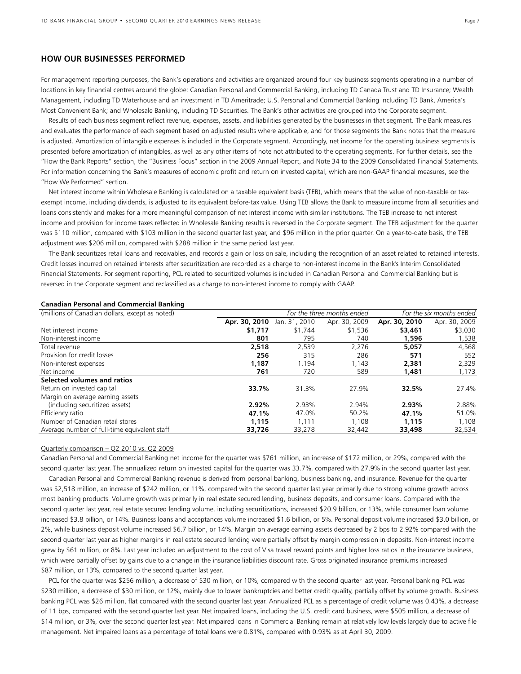# **HOW OUR BUSINESSES PERFORMED**

For management reporting purposes, the Bank's operations and activities are organized around four key business segments operating in a number of locations in key financial centres around the globe: Canadian Personal and Commercial Banking, including TD Canada Trust and TD Insurance; Wealth Management, including TD Waterhouse and an investment in TD Ameritrade; U.S. Personal and Commercial Banking including TD Bank, America's Most Convenient Bank; and Wholesale Banking, including TD Securities. The Bank's other activities are grouped into the Corporate segment.

 Results of each business segment reflect revenue, expenses, assets, and liabilities generated by the businesses in that segment. The Bank measures and evaluates the performance of each segment based on adjusted results where applicable, and for those segments the Bank notes that the measure is adjusted. Amortization of intangible expenses is included in the Corporate segment. Accordingly, net income for the operating business segments is presented before amortization of intangibles, as well as any other items of note not attributed to the operating segments. For further details, see the "How the Bank Reports" section, the "Business Focus" section in the 2009 Annual Report, and Note 34 to the 2009 Consolidated Financial Statements. For information concerning the Bank's measures of economic profit and return on invested capital, which are non-GAAP financial measures, see the "How We Performed" section.

 Net interest income within Wholesale Banking is calculated on a taxable equivalent basis (TEB), which means that the value of non-taxable or taxexempt income, including dividends, is adjusted to its equivalent before-tax value. Using TEB allows the Bank to measure income from all securities and loans consistently and makes for a more meaningful comparison of net interest income with similar institutions. The TEB increase to net interest income and provision for income taxes reflected in Wholesale Banking results is reversed in the Corporate segment. The TEB adjustment for the quarter was \$110 million, compared with \$103 million in the second quarter last year, and \$96 million in the prior quarter. On a year-to-date basis, the TEB adjustment was \$206 million, compared with \$288 million in the same period last year.

 The Bank securitizes retail loans and receivables, and records a gain or loss on sale, including the recognition of an asset related to retained interests. Credit losses incurred on retained interests after securitization are recorded as a charge to non-interest income in the Bank's Interim Consolidated Financial Statements. For segment reporting, PCL related to securitized volumes is included in Canadian Personal and Commercial Banking but is reversed in the Corporate segment and reclassified as a charge to non-interest income to comply with GAAP.

| (millions of Canadian dollars, except as noted) | For the three months ended |               |               | For the six months ended |               |
|-------------------------------------------------|----------------------------|---------------|---------------|--------------------------|---------------|
|                                                 | Apr. 30, 2010              | Jan. 31, 2010 | Apr. 30, 2009 | Apr. 30, 2010            | Apr. 30, 2009 |
| Net interest income                             | \$1,717                    | \$1,744       | \$1,536       | \$3,461                  | \$3,030       |
| Non-interest income                             | 801                        | 795           | 740           | 1,596                    | 1,538         |
| Total revenue                                   | 2,518                      | 2,539         | 2,276         | 5,057                    | 4,568         |
| Provision for credit losses                     | 256                        | 315           | 286           | 571                      | 552           |
| Non-interest expenses                           | 1.187                      | 1.194         | 1,143         | 2,381                    | 2,329         |
| Net income                                      | 761                        | 720           | 589           | 1,481                    | 1,173         |
| Selected volumes and ratios                     |                            |               |               |                          |               |
| Return on invested capital                      | 33.7%                      | 31.3%         | 27.9%         | 32.5%                    | 27.4%         |
| Margin on average earning assets                |                            |               |               |                          |               |
| (including securitized assets)                  | 2.92%                      | 2.93%         | 2.94%         | 2.93%                    | 2.88%         |
| Efficiency ratio                                | 47.1%                      | 47.0%         | 50.2%         | 47.1%                    | 51.0%         |
| Number of Canadian retail stores                | 1,115                      | 1.111         | 1.108         | 1.115                    | 1,108         |
| Average number of full-time equivalent staff    | 33,726                     | 33,278        | 32,442        | 33,498                   | 32,534        |

# **Canadian Personal and Commercial Banking**

# Quarterly comparison – Q2 2010 vs. Q2 2009

Canadian Personal and Commercial Banking net income for the quarter was \$761 million, an increase of \$172 million, or 29%, compared with the second quarter last year. The annualized return on invested capital for the quarter was 33.7%, compared with 27.9% in the second quarter last year.

 Canadian Personal and Commercial Banking revenue is derived from personal banking, business banking, and insurance. Revenue for the quarter was \$2,518 million, an increase of \$242 million, or 11%, compared with the second quarter last year primarily due to strong volume growth across most banking products. Volume growth was primarily in real estate secured lending, business deposits, and consumer loans. Compared with the second quarter last year, real estate secured lending volume, including securitizations, increased \$20.9 billion, or 13%, while consumer loan volume increased \$3.8 billion, or 14%. Business loans and acceptances volume increased \$1.6 billion, or 5%. Personal deposit volume increased \$3.0 billion, or 2%, while business deposit volume increased \$6.7 billion, or 14%. Margin on average earning assets decreased by 2 bps to 2.92% compared with the second quarter last year as higher margins in real estate secured lending were partially offset by margin compression in deposits. Non-interest income grew by \$61 million, or 8%. Last year included an adjustment to the cost of Visa travel reward points and higher loss ratios in the insurance business, which were partially offset by gains due to a change in the insurance liabilities discount rate. Gross originated insurance premiums increased \$87 million, or 13%, compared to the second quarter last year.

 PCL for the quarter was \$256 million, a decrease of \$30 million, or 10%, compared with the second quarter last year. Personal banking PCL was \$230 million, a decrease of \$30 million, or 12%, mainly due to lower bankruptcies and better credit quality, partially offset by volume growth. Business banking PCL was \$26 million, flat compared with the second quarter last year. Annualized PCL as a percentage of credit volume was 0.43%, a decrease of 11 bps, compared with the second quarter last year. Net impaired loans, including the U.S. credit card business, were \$505 million, a decrease of \$14 million, or 3%, over the second quarter last year. Net impaired loans in Commercial Banking remain at relatively low levels largely due to active file management. Net impaired loans as a percentage of total loans were 0.81%, compared with 0.93% as at April 30, 2009.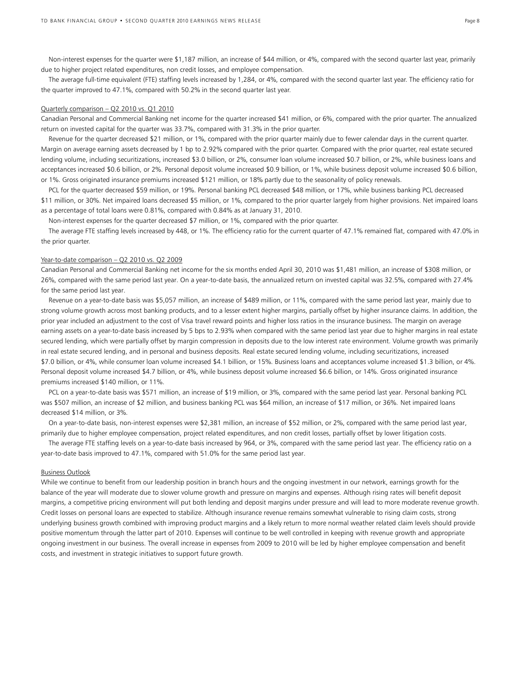Non-interest expenses for the quarter were \$1,187 million, an increase of \$44 million, or 4%, compared with the second quarter last year, primarily due to higher project related expenditures, non credit losses, and employee compensation.

 The average full-time equivalent (FTE) staffing levels increased by 1,284, or 4%, compared with the second quarter last year. The efficiency ratio for the quarter improved to 47.1%, compared with 50.2% in the second quarter last year.

#### Quarterly comparison – Q2 2010 vs. Q1 2010

Canadian Personal and Commercial Banking net income for the quarter increased \$41 million, or 6%, compared with the prior quarter. The annualized return on invested capital for the quarter was 33.7%, compared with 31.3% in the prior quarter.

 Revenue for the quarter decreased \$21 million, or 1%, compared with the prior quarter mainly due to fewer calendar days in the current quarter. Margin on average earning assets decreased by 1 bp to 2.92% compared with the prior quarter. Compared with the prior quarter, real estate secured lending volume, including securitizations, increased \$3.0 billion, or 2%, consumer loan volume increased \$0.7 billion, or 2%, while business loans and acceptances increased \$0.6 billion, or 2%. Personal deposit volume increased \$0.9 billion, or 1%, while business deposit volume increased \$0.6 billion, or 1%. Gross originated insurance premiums increased \$121 million, or 18% partly due to the seasonality of policy renewals.

 PCL for the quarter decreased \$59 million, or 19%. Personal banking PCL decreased \$48 million, or 17%, while business banking PCL decreased \$11 million, or 30%. Net impaired loans decreased \$5 million, or 1%, compared to the prior quarter largely from higher provisions. Net impaired loans as a percentage of total loans were 0.81%, compared with 0.84% as at January 31, 2010.

Non-interest expenses for the quarter decreased \$7 million, or 1%, compared with the prior quarter.

 The average FTE staffing levels increased by 448, or 1%. The efficiency ratio for the current quarter of 47.1% remained flat, compared with 47.0% in the prior quarter.

#### Year-to-date comparison – Q2 2010 vs. Q2 2009

Canadian Personal and Commercial Banking net income for the six months ended April 30, 2010 was \$1,481 million, an increase of \$308 million, or 26%, compared with the same period last year. On a year-to-date basis, the annualized return on invested capital was 32.5%, compared with 27.4% for the same period last year.

 Revenue on a year-to-date basis was \$5,057 million, an increase of \$489 million, or 11%, compared with the same period last year, mainly due to strong volume growth across most banking products, and to a lesser extent higher margins, partially offset by higher insurance claims. In addition, the prior year included an adjustment to the cost of Visa travel reward points and higher loss ratios in the insurance business. The margin on average earning assets on a year-to-date basis increased by 5 bps to 2.93% when compared with the same period last year due to higher margins in real estate secured lending, which were partially offset by margin compression in deposits due to the low interest rate environment. Volume growth was primarily in real estate secured lending, and in personal and business deposits. Real estate secured lending volume, including securitizations, increased \$7.0 billion, or 4%, while consumer loan volume increased \$4.1 billion, or 15%. Business loans and acceptances volume increased \$1.3 billion, or 4%. Personal deposit volume increased \$4.7 billion, or 4%, while business deposit volume increased \$6.6 billion, or 14%. Gross originated insurance premiums increased \$140 million, or 11%.

 PCL on a year-to-date basis was \$571 million, an increase of \$19 million, or 3%, compared with the same period last year. Personal banking PCL was \$507 million, an increase of \$2 million, and business banking PCL was \$64 million, an increase of \$17 million, or 36%. Net impaired loans decreased \$14 million, or 3%.

 On a year-to-date basis, non-interest expenses were \$2,381 million, an increase of \$52 million, or 2%, compared with the same period last year, primarily due to higher employee compensation, project related expenditures, and non credit losses, partially offset by lower litigation costs.

 The average FTE staffing levels on a year-to-date basis increased by 964, or 3%, compared with the same period last year. The efficiency ratio on a year-to-date basis improved to 47.1%, compared with 51.0% for the same period last year.

# Business Outlook

While we continue to benefit from our leadership position in branch hours and the ongoing investment in our network, earnings growth for the balance of the year will moderate due to slower volume growth and pressure on margins and expenses. Although rising rates will benefit deposit margins, a competitive pricing environment will put both lending and deposit margins under pressure and will lead to more moderate revenue growth. Credit losses on personal loans are expected to stabilize. Although insurance revenue remains somewhat vulnerable to rising claim costs, strong underlying business growth combined with improving product margins and a likely return to more normal weather related claim levels should provide positive momentum through the latter part of 2010. Expenses will continue to be well controlled in keeping with revenue growth and appropriate ongoing investment in our business. The overall increase in expenses from 2009 to 2010 will be led by higher employee compensation and benefit costs, and investment in strategic initiatives to support future growth.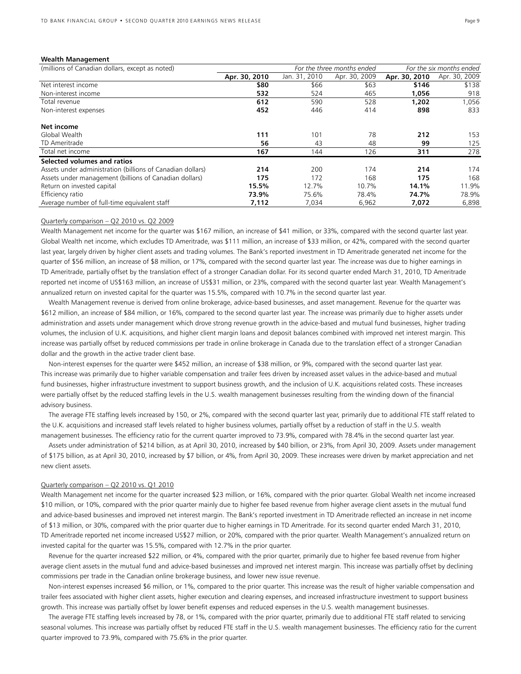#### **Wealth Management**

| (millions of Canadian dollars, except as noted)            | For the three months ended |               |               | For the six months ended |               |
|------------------------------------------------------------|----------------------------|---------------|---------------|--------------------------|---------------|
|                                                            | Apr. 30, 2010              | Jan. 31, 2010 | Apr. 30, 2009 | Apr. 30, 2010            | Apr. 30, 2009 |
| Net interest income                                        | \$80                       | \$66          | \$63          | \$146                    | \$138         |
| Non-interest income                                        | 532                        | 524           | 465           | 1,056                    | 918           |
| Total revenue                                              | 612                        | 590           | 528           | 1,202                    | 1,056         |
| Non-interest expenses                                      | 452                        | 446           | 414           | 898                      | 833           |
| Net income                                                 |                            |               |               |                          |               |
| Global Wealth                                              | 111                        | 101           | 78            | 212                      | 153           |
| TD Ameritrade                                              | 56                         | 43            | 48            | 99                       | 125           |
| Total net income                                           | 167                        | 144           | 126           | 311                      | 278           |
| Selected volumes and ratios                                |                            |               |               |                          |               |
| Assets under administration (billions of Canadian dollars) | 214                        | 200           | 174           | 214                      | 174           |
| Assets under management (billions of Canadian dollars)     | 175                        | 172           | 168           | 175                      | 168           |
| Return on invested capital                                 | 15.5%                      | 12.7%         | 10.7%         | 14.1%                    | 11.9%         |
| Efficiency ratio                                           | 73.9%                      | 75.6%         | 78.4%         | 74.7%                    | 78.9%         |
| Average number of full-time equivalent staff               | 7,112                      | 7,034         | 6,962         | 7,072                    | 6,898         |

#### Quarterly comparison – Q2 2010 vs. Q2 2009

Wealth Management net income for the quarter was \$167 million, an increase of \$41 million, or 33%, compared with the second quarter last year. Global Wealth net income, which excludes TD Ameritrade, was \$111 million, an increase of \$33 million, or 42%, compared with the second quarter last year, largely driven by higher client assets and trading volumes. The Bank's reported investment in TD Ameritrade generated net income for the quarter of \$56 million, an increase of \$8 million, or 17%, compared with the second quarter last year. The increase was due to higher earnings in TD Ameritrade, partially offset by the translation effect of a stronger Canadian dollar. For its second quarter ended March 31, 2010, TD Ameritrade reported net income of US\$163 million, an increase of US\$31 million, or 23%, compared with the second quarter last year. Wealth Management's annualized return on invested capital for the quarter was 15.5%, compared with 10.7% in the second quarter last year.

 Wealth Management revenue is derived from online brokerage, advice-based businesses, and asset management. Revenue for the quarter was \$612 million, an increase of \$84 million, or 16%, compared to the second quarter last year. The increase was primarily due to higher assets under administration and assets under management which drove strong revenue growth in the advice-based and mutual fund businesses, higher trading volumes, the inclusion of U.K. acquisitions, and higher client margin loans and deposit balances combined with improved net interest margin. This increase was partially offset by reduced commissions per trade in online brokerage in Canada due to the translation effect of a stronger Canadian dollar and the growth in the active trader client base.

 Non-interest expenses for the quarter were \$452 million, an increase of \$38 million, or 9%, compared with the second quarter last year. This increase was primarily due to higher variable compensation and trailer fees driven by increased asset values in the advice-based and mutual fund businesses, higher infrastructure investment to support business growth, and the inclusion of U.K. acquisitions related costs. These increases were partially offset by the reduced staffing levels in the U.S. wealth management businesses resulting from the winding down of the financial advisory business.

 The average FTE staffing levels increased by 150, or 2%, compared with the second quarter last year, primarily due to additional FTE staff related to the U.K. acquisitions and increased staff levels related to higher business volumes, partially offset by a reduction of staff in the U.S. wealth management businesses. The efficiency ratio for the current quarter improved to 73.9%, compared with 78.4% in the second quarter last year.

 Assets under administration of \$214 billion, as at April 30, 2010, increased by \$40 billion, or 23%, from April 30, 2009. Assets under management of \$175 billion, as at April 30, 2010, increased by \$7 billion, or 4%, from April 30, 2009. These increases were driven by market appreciation and net new client assets.

#### Quarterly comparison – Q2 2010 vs. Q1 2010

Wealth Management net income for the quarter increased \$23 million, or 16%, compared with the prior quarter. Global Wealth net income increased \$10 million, or 10%, compared with the prior quarter mainly due to higher fee based revenue from higher average client assets in the mutual fund and advice-based businesses and improved net interest margin. The Bank's reported investment in TD Ameritrade reflected an increase in net income of \$13 million, or 30%, compared with the prior quarter due to higher earnings in TD Ameritrade. For its second quarter ended March 31, 2010, TD Ameritrade reported net income increased US\$27 million, or 20%, compared with the prior quarter. Wealth Management's annualized return on invested capital for the quarter was 15.5%, compared with 12.7% in the prior quarter.

 Revenue for the quarter increased \$22 million, or 4%, compared with the prior quarter, primarily due to higher fee based revenue from higher average client assets in the mutual fund and advice-based businesses and improved net interest margin. This increase was partially offset by declining commissions per trade in the Canadian online brokerage business, and lower new issue revenue.

 Non-interest expenses increased \$6 million, or 1%, compared to the prior quarter. This increase was the result of higher variable compensation and trailer fees associated with higher client assets, higher execution and clearing expenses, and increased infrastructure investment to support business growth. This increase was partially offset by lower benefit expenses and reduced expenses in the U.S. wealth management businesses.

 The average FTE staffing levels increased by 78, or 1%, compared with the prior quarter, primarily due to additional FTE staff related to servicing seasonal volumes. This increase was partially offset by reduced FTE staff in the U.S. wealth management businesses. The efficiency ratio for the current quarter improved to 73.9%, compared with 75.6% in the prior quarter.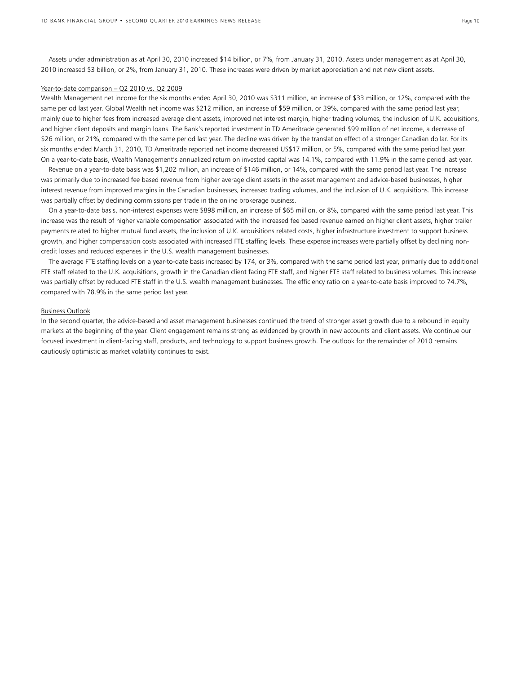Assets under administration as at April 30, 2010 increased \$14 billion, or 7%, from January 31, 2010. Assets under management as at April 30, 2010 increased \$3 billion, or 2%, from January 31, 2010. These increases were driven by market appreciation and net new client assets.

#### Year-to-date comparison – Q2 2010 vs. Q2 2009

Wealth Management net income for the six months ended April 30, 2010 was \$311 million, an increase of \$33 million, or 12%, compared with the same period last year. Global Wealth net income was \$212 million, an increase of \$59 million, or 39%, compared with the same period last year, mainly due to higher fees from increased average client assets, improved net interest margin, higher trading volumes, the inclusion of U.K. acquisitions, and higher client deposits and margin loans. The Bank's reported investment in TD Ameritrade generated \$99 million of net income, a decrease of \$26 million, or 21%, compared with the same period last year. The decline was driven by the translation effect of a stronger Canadian dollar. For its six months ended March 31, 2010, TD Ameritrade reported net income decreased US\$17 million, or 5%, compared with the same period last year. On a year-to-date basis, Wealth Management's annualized return on invested capital was 14.1%, compared with 11.9% in the same period last year.

 Revenue on a year-to-date basis was \$1,202 million, an increase of \$146 million, or 14%, compared with the same period last year. The increase was primarily due to increased fee based revenue from higher average client assets in the asset management and advice-based businesses, higher interest revenue from improved margins in the Canadian businesses, increased trading volumes, and the inclusion of U.K. acquisitions. This increase was partially offset by declining commissions per trade in the online brokerage business.

 On a year-to-date basis, non-interest expenses were \$898 million, an increase of \$65 million, or 8%, compared with the same period last year. This increase was the result of higher variable compensation associated with the increased fee based revenue earned on higher client assets, higher trailer payments related to higher mutual fund assets, the inclusion of U.K. acquisitions related costs, higher infrastructure investment to support business growth, and higher compensation costs associated with increased FTE staffing levels. These expense increases were partially offset by declining noncredit losses and reduced expenses in the U.S. wealth management businesses.

 The average FTE staffing levels on a year-to-date basis increased by 174, or 3%, compared with the same period last year, primarily due to additional FTE staff related to the U.K. acquisitions, growth in the Canadian client facing FTE staff, and higher FTE staff related to business volumes. This increase was partially offset by reduced FTE staff in the U.S. wealth management businesses. The efficiency ratio on a year-to-date basis improved to 74.7%, compared with 78.9% in the same period last year.

#### Business Outlook

In the second quarter, the advice-based and asset management businesses continued the trend of stronger asset growth due to a rebound in equity markets at the beginning of the year. Client engagement remains strong as evidenced by growth in new accounts and client assets. We continue our focused investment in client-facing staff, products, and technology to support business growth. The outlook for the remainder of 2010 remains cautiously optimistic as market volatility continues to exist.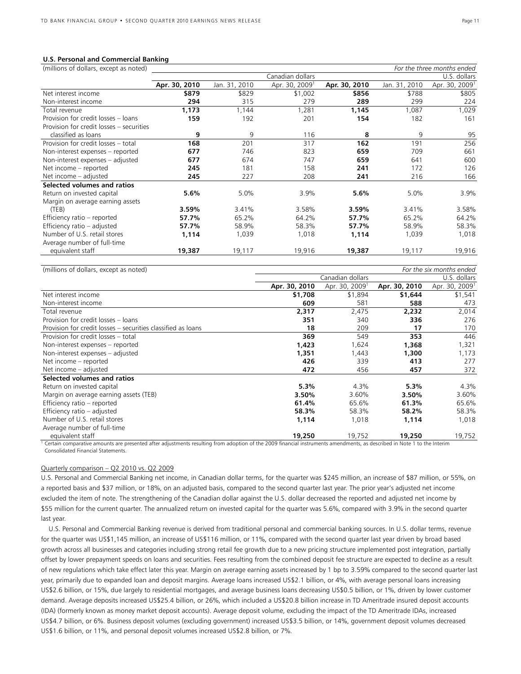#### **U.S. Personal and Commercial Banking**

| (millions of dollars, except as noted)   | For the three months ended |               |                            |               |               |                            |
|------------------------------------------|----------------------------|---------------|----------------------------|---------------|---------------|----------------------------|
|                                          |                            |               | Canadian dollars           |               |               | U.S. dollars               |
|                                          | Apr. 30, 2010              | Jan. 31, 2010 | Apr. 30, 2009 <sup>1</sup> | Apr. 30, 2010 | Jan. 31, 2010 | Apr. 30, 2009 <sup>1</sup> |
| Net interest income                      | \$879                      | \$829         | \$1,002                    | \$856         | \$788         | \$805                      |
| Non-interest income                      | 294                        | 315           | 279                        | 289           | 299           | 224                        |
| Total revenue                            | 1,173                      | 1,144         | 1,281                      | 1,145         | 1,087         | 1,029                      |
| Provision for credit losses - loans      | 159                        | 192           | 201                        | 154           | 182           | 161                        |
| Provision for credit losses - securities |                            |               |                            |               |               |                            |
| classified as loans                      | 9                          | 9             | 116                        | 8             | 9             | 95                         |
| Provision for credit losses - total      | 168                        | 201           | 317                        | 162           | 191           | 256                        |
| Non-interest expenses - reported         | 677                        | 746           | 823                        | 659           | 709           | 661                        |
| Non-interest expenses - adjusted         | 677                        | 674           | 747                        | 659           | 641           | 600                        |
| Net income - reported                    | 245                        | 181           | 158                        | 241           | 172           | 126                        |
| Net income - adjusted                    | 245                        | 227           | 208                        | 241           | 216           | 166                        |
| Selected volumes and ratios              |                            |               |                            |               |               |                            |
| Return on invested capital               | 5.6%                       | 5.0%          | 3.9%                       | $5.6\%$       | 5.0%          | 3.9%                       |
| Margin on average earning assets         |                            |               |                            |               |               |                            |
| (TEB)                                    | 3.59%                      | 3.41%         | 3.58%                      | 3.59%         | 3.41%         | 3.58%                      |
| Efficiency ratio - reported              | 57.7%                      | 65.2%         | 64.2%                      | 57.7%         | 65.2%         | 64.2%                      |
| Efficiency ratio - adjusted              | 57.7%                      | 58.9%         | 58.3%                      | 57.7%         | 58.9%         | 58.3%                      |
| Number of U.S. retail stores             | 1,114                      | 1,039         | 1,018                      | 1,114         | 1,039         | 1,018                      |
| Average number of full-time              |                            |               |                            |               |               |                            |
| equivalent staff                         | 19,387                     | 19,117        | 19,916                     | 19,387        | 19,117        | 19,916                     |
|                                          |                            |               |                            |               |               |                            |

| (millions of dollars, except as noted)                       | For the six months ended |                            |               |                            |  |  |
|--------------------------------------------------------------|--------------------------|----------------------------|---------------|----------------------------|--|--|
|                                                              |                          | Canadian dollars           |               | U.S. dollars               |  |  |
|                                                              | Apr. 30, 2010            | Apr. 30, 2009 <sup>1</sup> | Apr. 30, 2010 | Apr. 30, 2009 <sup>1</sup> |  |  |
| Net interest income                                          | \$1,708                  | \$1,894                    | \$1,644       | \$1,541                    |  |  |
| Non-interest income                                          | 609                      | 581                        | 588           | 473                        |  |  |
| Total revenue                                                | 2,317                    | 2,475                      | 2,232         | 2,014                      |  |  |
| Provision for credit losses - loans                          | 351                      | 340                        | 336           | 276                        |  |  |
| Provision for credit losses – securities classified as loans | 18                       | 209                        | 17            | 170                        |  |  |
| Provision for credit losses - total                          | 369                      | 549                        | 353           | 446                        |  |  |
| Non-interest expenses – reported                             | 1,423                    | 1,624                      | 1,368         | 1,321                      |  |  |
| Non-interest expenses - adjusted                             | 1,351                    | 1,443                      | 1,300         | 1,173                      |  |  |
| Net income – reported                                        | 426                      | 339                        | 413           | 277                        |  |  |
| Net income - adjusted                                        | 472                      | 456                        | 457           | 372                        |  |  |
| Selected volumes and ratios                                  |                          |                            |               |                            |  |  |
| Return on invested capital                                   | 5.3%                     | 4.3%                       | 5.3%          | 4.3%                       |  |  |
| Margin on average earning assets (TEB)                       | 3.50%                    | 3.60%                      | 3.50%         | 3.60%                      |  |  |
| Efficiency ratio - reported                                  | 61.4%                    | 65.6%                      | 61.3%         | 65.6%                      |  |  |
| Efficiency ratio - adjusted                                  | 58.3%                    | 58.3%                      | 58.2%         | 58.3%                      |  |  |
| Number of U.S. retail stores                                 | 1,114                    | 1,018                      | 1,114         | 1,018                      |  |  |
| Average number of full-time                                  |                          |                            |               |                            |  |  |
| equivalent staff                                             | 19,250                   | 19,752                     | 19,250        | 19,752                     |  |  |

1 Certain comparative amounts are presented after adjustments resulting from adoption of the 2009 financial instruments amendments, as described in Note 1 to the Interim Consolidated Financial Statements.

# Quarterly comparison – Q2 2010 vs. Q2 2009

U.S. Personal and Commercial Banking net income, in Canadian dollar terms, for the quarter was \$245 million, an increase of \$87 million, or 55%, on a reported basis and \$37 million, or 18%, on an adjusted basis, compared to the second quarter last year. The prior year's adjusted net income excluded the item of note. The strengthening of the Canadian dollar against the U.S. dollar decreased the reported and adjusted net income by \$55 million for the current quarter. The annualized return on invested capital for the quarter was 5.6%, compared with 3.9% in the second quarter last year.

 U.S. Personal and Commercial Banking revenue is derived from traditional personal and commercial banking sources. In U.S. dollar terms, revenue for the quarter was US\$1,145 million, an increase of US\$116 million, or 11%, compared with the second quarter last year driven by broad based growth across all businesses and categories including strong retail fee growth due to a new pricing structure implemented post integration, partially offset by lower prepayment speeds on loans and securities. Fees resulting from the combined deposit fee structure are expected to decline as a result of new regulations which take effect later this year. Margin on average earning assets increased by 1 bp to 3.59% compared to the second quarter last year, primarily due to expanded loan and deposit margins. Average loans increased US\$2.1 billion, or 4%, with average personal loans increasing US\$2.6 billion, or 15%, due largely to residential mortgages, and average business loans decreasing US\$0.5 billion, or 1%, driven by lower customer demand. Average deposits increased US\$25.4 billion, or 26%, which included a US\$20.8 billion increase in TD Ameritrade insured deposit accounts (IDA) (formerly known as money market deposit accounts). Average deposit volume, excluding the impact of the TD Ameritrade IDAs, increased US\$4.7 billion, or 6%. Business deposit volumes (excluding government) increased US\$3.5 billion, or 14%, government deposit volumes decreased US\$1.6 billion, or 11%, and personal deposit volumes increased US\$2.8 billion, or 7%.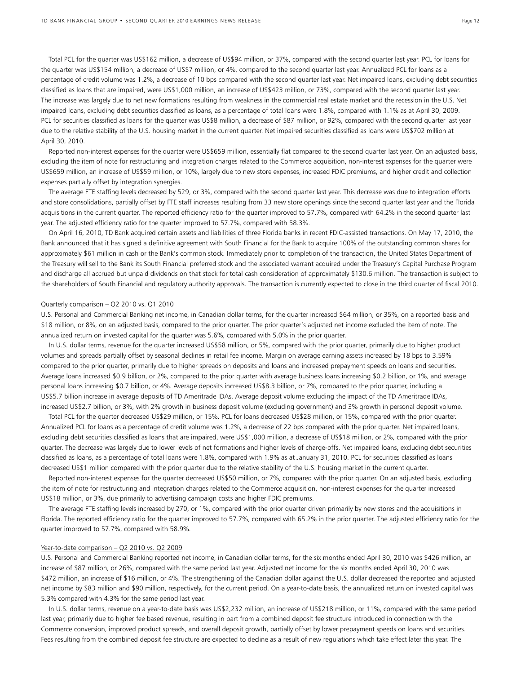Total PCL for the quarter was US\$162 million, a decrease of US\$94 million, or 37%, compared with the second quarter last year. PCL for loans for the quarter was US\$154 million, a decrease of US\$7 million, or 4%, compared to the second quarter last year. Annualized PCL for loans as a percentage of credit volume was 1.2%, a decrease of 10 bps compared with the second quarter last year. Net impaired loans, excluding debt securities classified as loans that are impaired, were US\$1,000 million, an increase of US\$423 million, or 73%, compared with the second quarter last year. The increase was largely due to net new formations resulting from weakness in the commercial real estate market and the recession in the U.S. Net impaired loans, excluding debt securities classified as loans, as a percentage of total loans were 1.8%, compared with 1.1% as at April 30, 2009. PCL for securities classified as loans for the quarter was US\$8 million, a decrease of \$87 million, or 92%, compared with the second quarter last year due to the relative stability of the U.S. housing market in the current quarter. Net impaired securities classified as loans were US\$702 million at April 30, 2010.

 Reported non-interest expenses for the quarter were US\$659 million, essentially flat compared to the second quarter last year. On an adjusted basis, excluding the item of note for restructuring and integration charges related to the Commerce acquisition, non-interest expenses for the quarter were US\$659 million, an increase of US\$59 million, or 10%, largely due to new store expenses, increased FDIC premiums, and higher credit and collection expenses partially offset by integration synergies.

 The average FTE staffing levels decreased by 529, or 3%, compared with the second quarter last year. This decrease was due to integration efforts and store consolidations, partially offset by FTE staff increases resulting from 33 new store openings since the second quarter last year and the Florida acquisitions in the current quarter. The reported efficiency ratio for the quarter improved to 57.7%, compared with 64.2% in the second quarter last year. The adjusted efficiency ratio for the quarter improved to 57.7%, compared with 58.3%.

 On April 16, 2010, TD Bank acquired certain assets and liabilities of three Florida banks in recent FDIC-assisted transactions. On May 17, 2010, the Bank announced that it has signed a definitive agreement with South Financial for the Bank to acquire 100% of the outstanding common shares for approximately \$61 million in cash or the Bank's common stock. Immediately prior to completion of the transaction, the United States Department of the Treasury will sell to the Bank its South Financial preferred stock and the associated warrant acquired under the Treasury's Capital Purchase Program and discharge all accrued but unpaid dividends on that stock for total cash consideration of approximately \$130.6 million. The transaction is subject to the shareholders of South Financial and regulatory authority approvals. The transaction is currently expected to close in the third quarter of fiscal 2010.

#### Quarterly comparison – Q2 2010 vs. Q1 2010

U.S. Personal and Commercial Banking net income, in Canadian dollar terms, for the quarter increased \$64 million, or 35%, on a reported basis and \$18 million, or 8%, on an adjusted basis, compared to the prior quarter. The prior quarter's adjusted net income excluded the item of note. The annualized return on invested capital for the quarter was 5.6%, compared with 5.0% in the prior quarter.

 In U.S. dollar terms, revenue for the quarter increased US\$58 million, or 5%, compared with the prior quarter, primarily due to higher product volumes and spreads partially offset by seasonal declines in retail fee income. Margin on average earning assets increased by 18 bps to 3.59% compared to the prior quarter, primarily due to higher spreads on deposits and loans and increased prepayment speeds on loans and securities. Average loans increased \$0.9 billion, or 2%, compared to the prior quarter with average business loans increasing \$0.2 billion, or 1%, and average personal loans increasing \$0.7 billion, or 4%. Average deposits increased US\$8.3 billion, or 7%, compared to the prior quarter, including a US\$5.7 billion increase in average deposits of TD Ameritrade IDAs. Average deposit volume excluding the impact of the TD Ameritrade IDAs, increased US\$2.7 billion, or 3%, with 2% growth in business deposit volume (excluding government) and 3% growth in personal deposit volume.

 Total PCL for the quarter decreased US\$29 million, or 15%. PCL for loans decreased US\$28 million, or 15%, compared with the prior quarter. Annualized PCL for loans as a percentage of credit volume was 1.2%, a decrease of 22 bps compared with the prior quarter. Net impaired loans, excluding debt securities classified as loans that are impaired, were US\$1,000 million, a decrease of US\$18 million, or 2%, compared with the prior quarter. The decrease was largely due to lower levels of net formations and higher levels of charge-offs. Net impaired loans, excluding debt securities classified as loans, as a percentage of total loans were 1.8%, compared with 1.9% as at January 31, 2010. PCL for securities classified as loans decreased US\$1 million compared with the prior quarter due to the relative stability of the U.S. housing market in the current quarter.

 Reported non-interest expenses for the quarter decreased US\$50 million, or 7%, compared with the prior quarter. On an adjusted basis, excluding the item of note for restructuring and integration charges related to the Commerce acquisition, non-interest expenses for the quarter increased US\$18 million, or 3%, due primarily to advertising campaign costs and higher FDIC premiums.

 The average FTE staffing levels increased by 270, or 1%, compared with the prior quarter driven primarily by new stores and the acquisitions in Florida. The reported efficiency ratio for the quarter improved to 57.7%, compared with 65.2% in the prior quarter. The adjusted efficiency ratio for the quarter improved to 57.7%, compared with 58.9%.

#### Year-to-date comparison – Q2 2010 vs. Q2 2009

U.S. Personal and Commercial Banking reported net income, in Canadian dollar terms, for the six months ended April 30, 2010 was \$426 million, an increase of \$87 million, or 26%, compared with the same period last year. Adjusted net income for the six months ended April 30, 2010 was \$472 million, an increase of \$16 million, or 4%. The strengthening of the Canadian dollar against the U.S. dollar decreased the reported and adjusted net income by \$83 million and \$90 million, respectively, for the current period. On a year-to-date basis, the annualized return on invested capital was 5.3% compared with 4.3% for the same period last year.

 In U.S. dollar terms, revenue on a year-to-date basis was US\$2,232 million, an increase of US\$218 million, or 11%, compared with the same period last year, primarily due to higher fee based revenue, resulting in part from a combined deposit fee structure introduced in connection with the Commerce conversion, improved product spreads, and overall deposit growth, partially offset by lower prepayment speeds on loans and securities. Fees resulting from the combined deposit fee structure are expected to decline as a result of new regulations which take effect later this year. The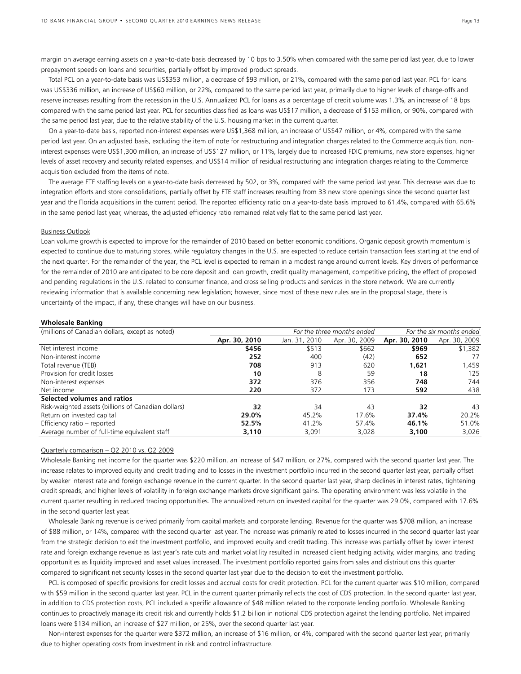margin on average earning assets on a year-to-date basis decreased by 10 bps to 3.50% when compared with the same period last year, due to lower prepayment speeds on loans and securities, partially offset by improved product spreads.

 Total PCL on a year-to-date basis was US\$353 million, a decrease of \$93 million, or 21%, compared with the same period last year. PCL for loans was US\$336 million, an increase of US\$60 million, or 22%, compared to the same period last year, primarily due to higher levels of charge-offs and reserve increases resulting from the recession in the U.S. Annualized PCL for loans as a percentage of credit volume was 1.3%, an increase of 18 bps compared with the same period last year. PCL for securities classified as loans was US\$17 million, a decrease of \$153 million, or 90%, compared with the same period last year, due to the relative stability of the U.S. housing market in the current quarter.

 On a year-to-date basis, reported non-interest expenses were US\$1,368 million, an increase of US\$47 million, or 4%, compared with the same period last year. On an adjusted basis, excluding the item of note for restructuring and integration charges related to the Commerce acquisition, noninterest expenses were US\$1,300 million, an increase of US\$127 million, or 11%, largely due to increased FDIC premiums, new store expenses, higher levels of asset recovery and security related expenses, and US\$14 million of residual restructuring and integration charges relating to the Commerce acquisition excluded from the items of note.

 The average FTE staffing levels on a year-to-date basis decreased by 502, or 3%, compared with the same period last year. This decrease was due to integration efforts and store consolidations, partially offset by FTE staff increases resulting from 33 new store openings since the second quarter last year and the Florida acquisitions in the current period. The reported efficiency ratio on a year-to-date basis improved to 61.4%, compared with 65.6% in the same period last year, whereas, the adjusted efficiency ratio remained relatively flat to the same period last year.

#### Business Outlook

Loan volume growth is expected to improve for the remainder of 2010 based on better economic conditions. Organic deposit growth momentum is expected to continue due to maturing stores, while regulatory changes in the U.S. are expected to reduce certain transaction fees starting at the end of the next quarter. For the remainder of the year, the PCL level is expected to remain in a modest range around current levels. Key drivers of performance for the remainder of 2010 are anticipated to be core deposit and loan growth, credit quality management, competitive pricing, the effect of proposed and pending regulations in the U.S. related to consumer finance, and cross selling products and services in the store network. We are currently reviewing information that is available concerning new legislation; however, since most of these new rules are in the proposal stage, there is uncertainty of the impact, if any, these changes will have on our business.

#### **Wholesale Banking**

| (millions of Canadian dollars, except as noted)     | For the three months ended |               |               | For the six months ended |               |
|-----------------------------------------------------|----------------------------|---------------|---------------|--------------------------|---------------|
|                                                     | Apr. 30, 2010              | Jan. 31, 2010 | Apr. 30, 2009 | Apr. 30, 2010            | Apr. 30, 2009 |
| Net interest income                                 | \$456                      | \$513         | \$662         | \$969                    | \$1,382       |
| Non-interest income                                 | 252                        | 400           | (42)          | 652                      | 77            |
| Total revenue (TEB)                                 | 708                        | 913           | 620           | 1,621                    | 1,459         |
| Provision for credit losses                         | 10                         | 8             | 59            | 18                       | 125           |
| Non-interest expenses                               | 372                        | 376           | 356           | 748                      | 744           |
| Net income                                          | 220                        | 372           | 173           | 592                      | 438           |
| Selected volumes and ratios                         |                            |               |               |                          |               |
| Risk-weighted assets (billions of Canadian dollars) | 32                         | 34            | 43            | 32                       | 43            |
| Return on invested capital                          | 29.0%                      | 45.2%         | 17.6%         | 37.4%                    | 20.2%         |
| Efficiency ratio - reported                         | 52.5%                      | 41.2%         | 57.4%         | 46.1%                    | 51.0%         |
| Average number of full-time equivalent staff        | 3,110                      | 3,091         | 3,028         | 3,100                    | 3,026         |

### Quarterly comparison – Q2 2010 vs. Q2 2009

Wholesale Banking net income for the quarter was \$220 million, an increase of \$47 million, or 27%, compared with the second quarter last year. The increase relates to improved equity and credit trading and to losses in the investment portfolio incurred in the second quarter last year, partially offset by weaker interest rate and foreign exchange revenue in the current quarter. In the second quarter last year, sharp declines in interest rates, tightening credit spreads, and higher levels of volatility in foreign exchange markets drove significant gains. The operating environment was less volatile in the current quarter resulting in reduced trading opportunities. The annualized return on invested capital for the quarter was 29.0%, compared with 17.6% in the second quarter last year.

 Wholesale Banking revenue is derived primarily from capital markets and corporate lending. Revenue for the quarter was \$708 million, an increase of \$88 million, or 14%, compared with the second quarter last year. The increase was primarily related to losses incurred in the second quarter last year from the strategic decision to exit the investment portfolio, and improved equity and credit trading. This increase was partially offset by lower interest rate and foreign exchange revenue as last year's rate cuts and market volatility resulted in increased client hedging activity, wider margins, and trading opportunities as liquidity improved and asset values increased. The investment portfolio reported gains from sales and distributions this quarter compared to significant net security losses in the second quarter last year due to the decision to exit the investment portfolio.

 PCL is composed of specific provisions for credit losses and accrual costs for credit protection. PCL for the current quarter was \$10 million, compared with \$59 million in the second quarter last year. PCL in the current quarter primarily reflects the cost of CDS protection. In the second quarter last year, in addition to CDS protection costs, PCL included a specific allowance of \$48 million related to the corporate lending portfolio. Wholesale Banking continues to proactively manage its credit risk and currently holds \$1.2 billion in notional CDS protection against the lending portfolio. Net impaired loans were \$134 million, an increase of \$27 million, or 25%, over the second quarter last year.

 Non-interest expenses for the quarter were \$372 million, an increase of \$16 million, or 4%, compared with the second quarter last year, primarily due to higher operating costs from investment in risk and control infrastructure.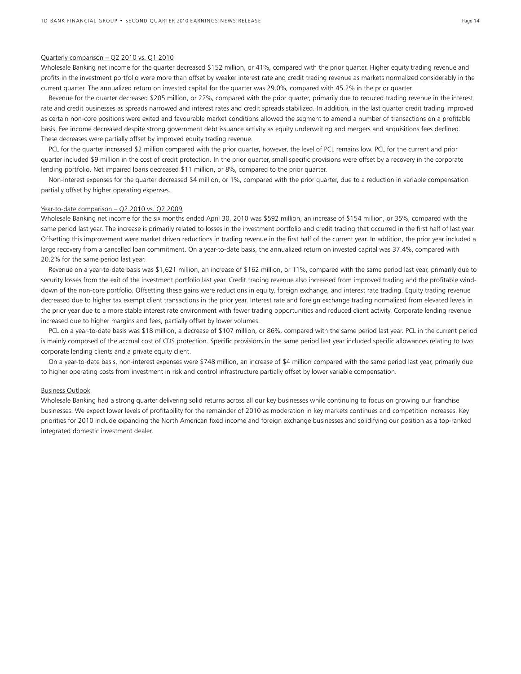#### Quarterly comparison – Q2 2010 vs. Q1 2010

Wholesale Banking net income for the quarter decreased \$152 million, or 41%, compared with the prior quarter. Higher equity trading revenue and profits in the investment portfolio were more than offset by weaker interest rate and credit trading revenue as markets normalized considerably in the current quarter. The annualized return on invested capital for the quarter was 29.0%, compared with 45.2% in the prior quarter.

 Revenue for the quarter decreased \$205 million, or 22%, compared with the prior quarter, primarily due to reduced trading revenue in the interest rate and credit businesses as spreads narrowed and interest rates and credit spreads stabilized. In addition, in the last quarter credit trading improved as certain non-core positions were exited and favourable market conditions allowed the segment to amend a number of transactions on a profitable basis. Fee income decreased despite strong government debt issuance activity as equity underwriting and mergers and acquisitions fees declined. These decreases were partially offset by improved equity trading revenue.

 PCL for the quarter increased \$2 million compared with the prior quarter, however, the level of PCL remains low. PCL for the current and prior quarter included \$9 million in the cost of credit protection. In the prior quarter, small specific provisions were offset by a recovery in the corporate lending portfolio. Net impaired loans decreased \$11 million, or 8%, compared to the prior quarter.

 Non-interest expenses for the quarter decreased \$4 million, or 1%, compared with the prior quarter, due to a reduction in variable compensation partially offset by higher operating expenses.

#### Year-to-date comparison – Q2 2010 vs. Q2 2009

Wholesale Banking net income for the six months ended April 30, 2010 was \$592 million, an increase of \$154 million, or 35%, compared with the same period last year. The increase is primarily related to losses in the investment portfolio and credit trading that occurred in the first half of last year. Offsetting this improvement were market driven reductions in trading revenue in the first half of the current year. In addition, the prior year included a large recovery from a cancelled loan commitment. On a year-to-date basis, the annualized return on invested capital was 37.4%, compared with 20.2% for the same period last year.

 Revenue on a year-to-date basis was \$1,621 million, an increase of \$162 million, or 11%, compared with the same period last year, primarily due to security losses from the exit of the investment portfolio last year. Credit trading revenue also increased from improved trading and the profitable winddown of the non-core portfolio. Offsetting these gains were reductions in equity, foreign exchange, and interest rate trading. Equity trading revenue decreased due to higher tax exempt client transactions in the prior year. Interest rate and foreign exchange trading normalized from elevated levels in the prior year due to a more stable interest rate environment with fewer trading opportunities and reduced client activity. Corporate lending revenue increased due to higher margins and fees, partially offset by lower volumes.

 PCL on a year-to-date basis was \$18 million, a decrease of \$107 million, or 86%, compared with the same period last year. PCL in the current period is mainly composed of the accrual cost of CDS protection. Specific provisions in the same period last year included specific allowances relating to two corporate lending clients and a private equity client.

 On a year-to-date basis, non-interest expenses were \$748 million, an increase of \$4 million compared with the same period last year, primarily due to higher operating costs from investment in risk and control infrastructure partially offset by lower variable compensation.

#### Business Outlook

Wholesale Banking had a strong quarter delivering solid returns across all our key businesses while continuing to focus on growing our franchise businesses. We expect lower levels of profitability for the remainder of 2010 as moderation in key markets continues and competition increases. Key priorities for 2010 include expanding the North American fixed income and foreign exchange businesses and solidifying our position as a top-ranked integrated domestic investment dealer.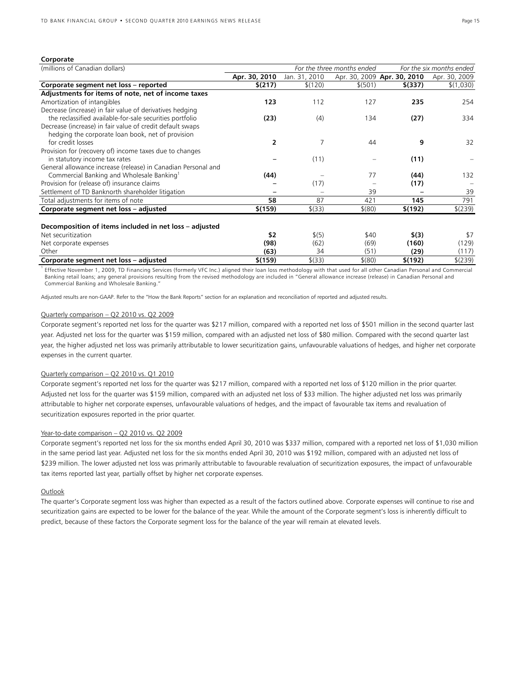#### **Corporate**

| (millions of Canadian dollars)                                | For the three months ended |               | For the six months ended |                             |               |
|---------------------------------------------------------------|----------------------------|---------------|--------------------------|-----------------------------|---------------|
|                                                               | Apr. 30, 2010              | Jan. 31, 2010 |                          | Apr. 30, 2009 Apr. 30, 2010 | Apr. 30, 2009 |
| Corporate segment net loss - reported                         | \$(217)                    | \$(120)       | \$ (501)                 | \$(337)                     | \$(1,030)     |
| Adjustments for items of note, net of income taxes            |                            |               |                          |                             |               |
| Amortization of intangibles                                   | 123                        | 112           | 127                      | 235                         | 254           |
| Decrease (increase) in fair value of derivatives hedging      |                            |               |                          |                             |               |
| the reclassified available-for-sale securities portfolio      | (23)                       | (4)           | 134                      | (27)                        | 334           |
| Decrease (increase) in fair value of credit default swaps     |                            |               |                          |                             |               |
| hedging the corporate loan book, net of provision             |                            |               |                          |                             |               |
| for credit losses                                             | $\overline{2}$             | 7             | 44                       | 9                           | 32            |
| Provision for (recovery of) income taxes due to changes       |                            |               |                          |                             |               |
| in statutory income tax rates                                 |                            | (11)          |                          | (11)                        |               |
| General allowance increase (release) in Canadian Personal and |                            |               |                          |                             |               |
| Commercial Banking and Wholesale Banking <sup>1</sup>         | (44)                       |               | 77                       | (44)                        | 132           |
| Provision for (release of) insurance claims                   |                            | (17)          |                          | (17)                        |               |
| Settlement of TD Banknorth shareholder litigation             |                            |               | 39                       |                             | 39            |
| Total adjustments for items of note                           | 58                         | 87            | 421                      | 145                         | 791           |
| Corporate segment net loss - adjusted                         | \$(159)                    | $$^{(33)}$    | $$^{(80)}$               | \$(192)                     | $$^{(239)}$   |
|                                                               |                            |               |                          |                             |               |
| Decomposition of items included in net loss - adjusted        |                            |               |                          |                             |               |
| Net securitization                                            | \$2                        | \$(5)         | \$40                     | \$(3)                       | \$7           |
| Net corporate expenses                                        | (98)                       | (62)          | (69)                     | (160)                       | (129)         |
| Other                                                         | (63)                       | 34            | (51)                     | (29)                        | (117)         |
| Corporate segment net loss - adjusted                         | \$(159)                    | \$ (33)       | $$^{(80)}$               | \$(192)                     | \$(239)       |

<sup>1</sup> Effective November 1, 2009, TD Financing Services (formerly VFC Inc.) aligned their loan loss methodology with that used for all other Canadian Personal and Commercial Banking retail loans; any general provisions resulting from the revised methodology are included in "General allowance increase (release) in Canadian Personal and Commercial Banking and Wholesale Banking."

Adjusted results are non-GAAP. Refer to the "How the Bank Reports" section for an explanation and reconciliation of reported and adjusted results.

#### Quarterly comparison – Q2 2010 vs. Q2 2009

Corporate segment's reported net loss for the quarter was \$217 million, compared with a reported net loss of \$501 million in the second quarter last year. Adjusted net loss for the quarter was \$159 million, compared with an adjusted net loss of \$80 million. Compared with the second quarter last year, the higher adjusted net loss was primarily attributable to lower securitization gains, unfavourable valuations of hedges, and higher net corporate expenses in the current quarter.

# Quarterly comparison – Q2 2010 vs. Q1 2010

Corporate segment's reported net loss for the quarter was \$217 million, compared with a reported net loss of \$120 million in the prior quarter. Adjusted net loss for the quarter was \$159 million, compared with an adjusted net loss of \$33 million. The higher adjusted net loss was primarily attributable to higher net corporate expenses, unfavourable valuations of hedges, and the impact of favourable tax items and revaluation of securitization exposures reported in the prior quarter.

#### Year-to-date comparison - Q2 2010 vs. Q2 2009

Corporate segment's reported net loss for the six months ended April 30, 2010 was \$337 million, compared with a reported net loss of \$1,030 million in the same period last year. Adjusted net loss for the six months ended April 30, 2010 was \$192 million, compared with an adjusted net loss of \$239 million. The lower adjusted net loss was primarily attributable to favourable revaluation of securitization exposures, the impact of unfavourable tax items reported last year, partially offset by higher net corporate expenses.

### **Outlook**

The quarter's Corporate segment loss was higher than expected as a result of the factors outlined above. Corporate expenses will continue to rise and securitization gains are expected to be lower for the balance of the year. While the amount of the Corporate segment's loss is inherently difficult to predict, because of these factors the Corporate segment loss for the balance of the year will remain at elevated levels.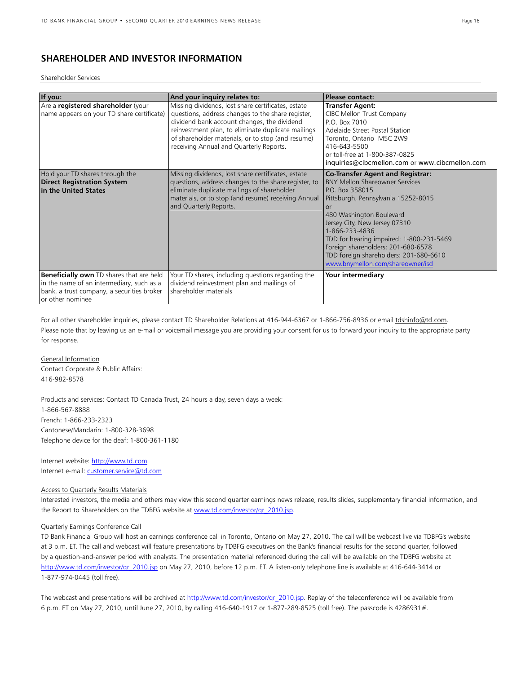# **SHAREHOLDER AND INVESTOR INFORMATION**

#### Shareholder Services

| If you:                                                                                                                                                        | And your inquiry relates to:                                                                                                                                                                                                                                                                                 | <b>Please contact:</b>                                                                                                                                                                                                                                                                                                                                                                        |
|----------------------------------------------------------------------------------------------------------------------------------------------------------------|--------------------------------------------------------------------------------------------------------------------------------------------------------------------------------------------------------------------------------------------------------------------------------------------------------------|-----------------------------------------------------------------------------------------------------------------------------------------------------------------------------------------------------------------------------------------------------------------------------------------------------------------------------------------------------------------------------------------------|
| Are a registered shareholder (your<br>name appears on your TD share certificate)                                                                               | Missing dividends, lost share certificates, estate<br>questions, address changes to the share register,<br>dividend bank account changes, the dividend<br>reinvestment plan, to eliminate duplicate mailings<br>of shareholder materials, or to stop (and resume)<br>receiving Annual and Quarterly Reports. | <b>Transfer Agent:</b><br>CIBC Mellon Trust Company<br>P.O. Box 7010<br>Adelaide Street Postal Station<br>Toronto, Ontario M5C 2W9<br>416-643-5500<br>or toll-free at 1-800-387-0825<br>inquiries@cibcmellon.com or www.cibcmellon.com                                                                                                                                                        |
| Hold your TD shares through the<br><b>Direct Registration System</b><br>in the United States                                                                   | Missing dividends, lost share certificates, estate<br>questions, address changes to the share register, to<br>eliminate duplicate mailings of shareholder<br>materials, or to stop (and resume) receiving Annual<br>and Quarterly Reports.                                                                   | <b>Co-Transfer Agent and Registrar:</b><br><b>BNY Mellon Shareowner Services</b><br>PO Box 358015<br>Pittsburgh, Pennsylvania 15252-8015<br>or<br>480 Washington Boulevard<br>Jersey City, New Jersey 07310<br>1-866-233-4836<br>TDD for hearing impaired: 1-800-231-5469<br>Foreign shareholders: 201-680-6578<br>TDD foreign shareholders: 201-680-6610<br>www.bnymellon.com/shareowner/isd |
| <b>Beneficially own</b> TD shares that are held<br>in the name of an intermediary, such as a<br>bank, a trust company, a securities broker<br>or other nominee | Your TD shares, including questions regarding the<br>dividend reinvestment plan and mailings of<br>shareholder materials                                                                                                                                                                                     | Your intermediary                                                                                                                                                                                                                                                                                                                                                                             |

For all other shareholder inquiries, please contact TD Shareholder Relations at 416-944-6367 or 1-866-756-8936 or email tdshinfo@td.com. Please note that by leaving us an e-mail or voicemail message you are providing your consent for us to forward your inquiry to the appropriate party for response.

General Information Contact Corporate & Public Affairs: 416-982-8578

Products and services: Contact TD Canada Trust, 24 hours a day, seven days a week: 1-866-567-8888 French: 1-866-233-2323 Cantonese/Mandarin: 1-800-328-3698 Telephone device for the deaf: 1-800-361-1180

Internet website: http://www.td.com Internet e-mail: customer.service@td.com

#### Access to Quarterly Results Materials

Interested investors, the media and others may view this second quarter earnings news release, results slides, supplementary financial information, and the Report to Shareholders on the TDBFG website at www.td.com/investor/qr\_2010.jsp.

# Quarterly Earnings Conference Call

TD Bank Financial Group will host an earnings conference call in Toronto, Ontario on May 27, 2010. The call will be webcast live via TDBFG's website at 3 p.m. ET. The call and webcast will feature presentations by TDBFG executives on the Bank's financial results for the second quarter, followed by a question-and-answer period with analysts. The presentation material referenced during the call will be available on the TDBFG website at http://www.td.com/investor/qr\_2010.jsp on May 27, 2010, before 12 p.m. ET. A listen-only telephone line is available at 416-644-3414 or 1-877-974-0445 (toll free).

The webcast and presentations will be archived at http://www.td.com/investor/qr\_2010.jsp. Replay of the teleconference will be available from 6 p.m. ET on May 27, 2010, until June 27, 2010, by calling 416-640-1917 or 1-877-289-8525 (toll free). The passcode is 4286931#.